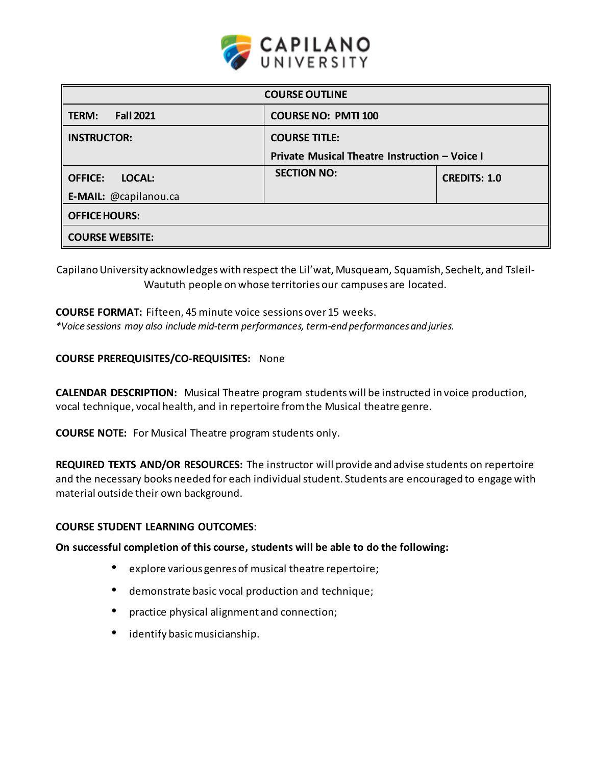

| <b>COURSE OUTLINE</b>           |                                               |                     |  |  |  |  |
|---------------------------------|-----------------------------------------------|---------------------|--|--|--|--|
| <b>Fall 2021</b><br>TERM:       | <b>COURSE NO: PMTI 100</b>                    |                     |  |  |  |  |
| <b>INSTRUCTOR:</b>              | <b>COURSE TITLE:</b>                          |                     |  |  |  |  |
|                                 | Private Musical Theatre Instruction - Voice I |                     |  |  |  |  |
| <b>OFFICE:</b><br><b>LOCAL:</b> | <b>SECTION NO:</b>                            | <b>CREDITS: 1.0</b> |  |  |  |  |
| E-MAIL: @capilanou.ca           |                                               |                     |  |  |  |  |
| <b>OFFICE HOURS:</b>            |                                               |                     |  |  |  |  |
| <b>COURSE WEBSITE:</b>          |                                               |                     |  |  |  |  |

Capilano University acknowledges with respect the Lil'wat, Musqueam, Squamish, Sechelt, and Tsleil-Waututh people on whose territories our campuses are located.

# **COURSE FORMAT:** Fifteen, 45minute voice sessions over15 weeks.

*\*Voice sessions may also include mid-term performances, term-end performancesand juries.*

# **COURSE PREREQUISITES/CO-REQUISITES:** None

**CALENDAR DESCRIPTION:** Musical Theatre program students will be instructed in voice production, vocal technique, vocal health, and in repertoire fromthe Musical theatre genre.

**COURSE NOTE:** For Musical Theatre program students only.

**REQUIRED TEXTS AND/OR RESOURCES:** The instructor will provide and advise students on repertoire and the necessary books needed for each individual student. Students are encouraged to engage with material outside their own background.

# **COURSE STUDENT LEARNING OUTCOMES**:

# **On successful completion of this course, students will be able to do the following:**

- explore various genres of musical theatre repertoire;
- demonstrate basic vocal production and technique;
- practice physical alignment and connection;
- identify basicmusicianship.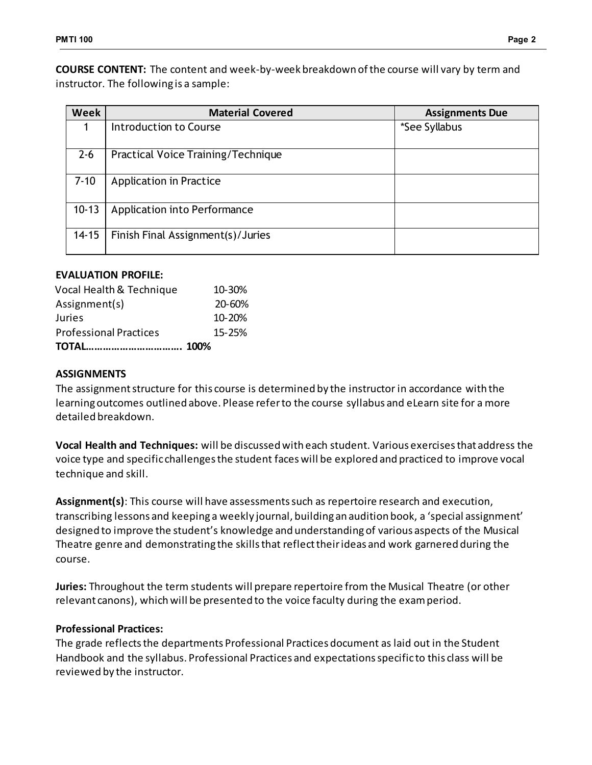**COURSE CONTENT:** The content and week-by-week breakdown of the course will vary by term and instructor. The following is a sample:

| <b>Week</b> | <b>Material Covered</b>            | <b>Assignments Due</b> |
|-------------|------------------------------------|------------------------|
|             | Introduction to Course             | *See Syllabus          |
| $2 - 6$     | Practical Voice Training/Technique |                        |
| $7 - 10$    | <b>Application in Practice</b>     |                        |
| $10 - 13$   | Application into Performance       |                        |
| $14 - 15$   | Finish Final Assignment(s)/Juries  |                        |

# **EVALUATION PROFILE:**

| Vocal Health & Technique      | 10-30%     |
|-------------------------------|------------|
| Assignment(s)                 | 20-60%     |
| Juries                        | $10 - 20%$ |
| <b>Professional Practices</b> | $15 - 25%$ |
|                               |            |

# **ASSIGNMENTS**

The assignment structure for this course is determined by the instructor in accordance with the learning outcomes outlined above. Please refer to the course syllabus and eLearn site for a more detailed breakdown.

**Vocal Health and Techniques:** will be discussed with each student. Various exercises that address the voice type and specific challenges the student faces will be explored and practiced to improve vocal technique and skill.

**Assignment(s)**: This course will have assessments such as repertoire research and execution, transcribing lessons and keeping a weekly journal, building an audition book, a 'special assignment' designed to improve the student's knowledge and understanding of various aspects of the Musical Theatre genre and demonstrating the skills that reflect their ideas and work garnered during the course.

**Juries:** Throughout the term students will prepare repertoire from the Musical Theatre (or other relevant canons), which will be presented to the voice faculty during the exam period.

# **Professional Practices:**

The grade reflects the departments Professional Practices document as laid out in the Student Handbook and the syllabus. Professional Practices and expectations specific to this class will be reviewed by the instructor.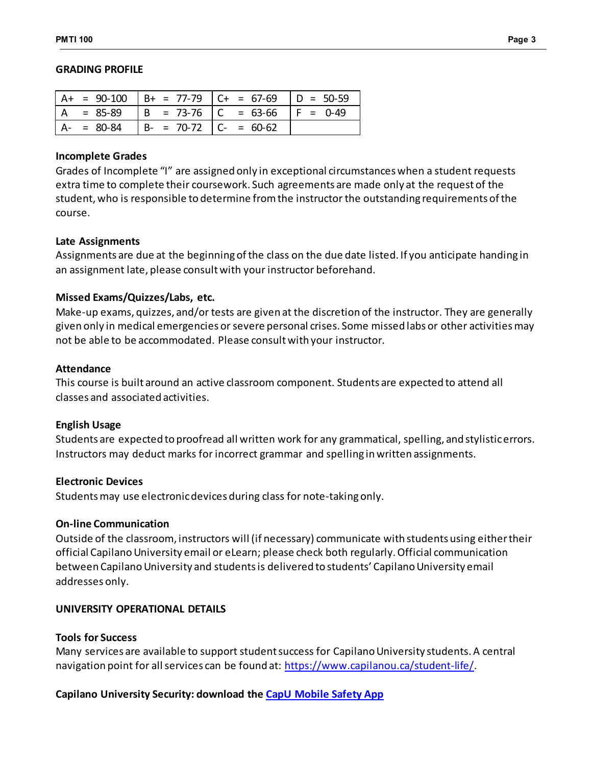#### **GRADING PROFILE**

|               |                               | = 90-100   B+ = 77-79   C+ = 67-69   D = 50-59 |            |
|---------------|-------------------------------|------------------------------------------------|------------|
| $= 85 - 89$   |                               | $  B = 73-76   C = 63-66$                      | $F = 0-49$ |
| $A - = 80-84$ | $  B - = 70-72   C - = 60-62$ |                                                |            |

### **Incomplete Grades**

Grades of Incomplete "I" are assigned only in exceptional circumstances when a student requests extra time to complete their coursework. Such agreements are made only at the request of the student, who is responsible to determine from the instructor the outstanding requirements of the course.

#### **Late Assignments**

Assignments are due at the beginning of the class on the due date listed. If you anticipate handing in an assignment late, please consult with your instructor beforehand.

# **Missed Exams/Quizzes/Labs, etc.**

Make-up exams, quizzes, and/or tests are given at the discretion of the instructor. They are generally given only in medical emergencies or severe personal crises. Some missed labs or other activities may not be able to be accommodated. Please consult with your instructor.

#### **Attendance**

This course is built around an active classroom component. Students are expected to attend all classes and associated activities.

# **English Usage**

Students are expected to proofread all written work for any grammatical, spelling, and stylistic errors. Instructors may deduct marks for incorrect grammar and spelling in written assignments.

# **Electronic Devices**

Students may use electronic devices during class for note-taking only.

# **On-line Communication**

Outside of the classroom, instructors will (if necessary) communicate with students using either their official Capilano University email or eLearn; please check both regularly. Official communication between Capilano University and students is delivered to students' Capilano University email addresses only.

# **UNIVERSITY OPERATIONAL DETAILS**

# **Tools for Success**

Many services are available to support student success for Capilano University students. A central navigation point for all services can be found at:<https://www.capilanou.ca/student-life/>.

# **Capilano University Security: download the [CapU Mobile Safety App](https://www.capilanou.ca/student-life/support--wellness/safety--security/capu-safe-app/)**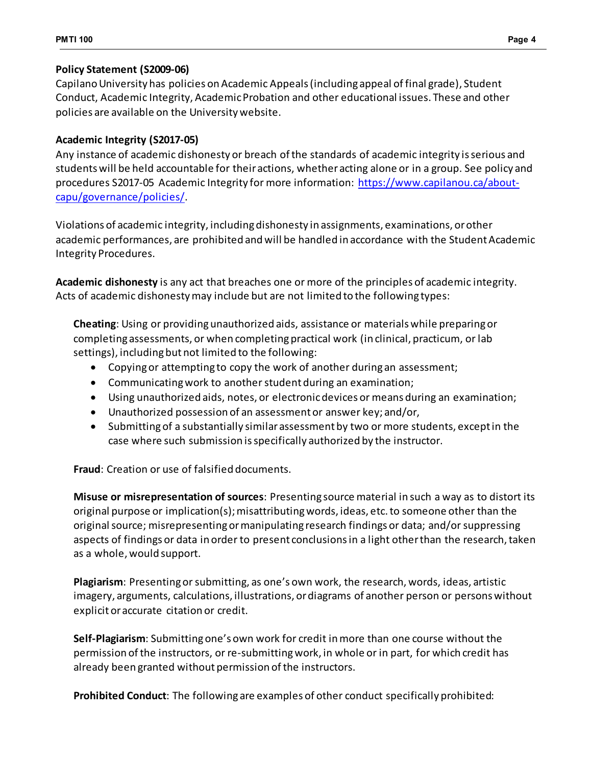# **Policy Statement (S2009-06)**

Capilano University has policies on Academic Appeals (including appeal of final grade), Student Conduct, Academic Integrity, Academic Probation and other educational issues. These and other policies are available on the University website.

# **Academic Integrity (S2017-05)**

Any instance of academic dishonesty or breach of the standards of academic integrity is serious and students will be held accountable for their actions, whether acting alone or in a group. See policy and procedures S2017-05 Academic Integrity for more information: [https://www.capilanou.ca/about](https://www.capilanou.ca/about-capu/governance/policies/)[capu/governance/policies/](https://www.capilanou.ca/about-capu/governance/policies/).

Violations of academic integrity, including dishonesty in assignments, examinations, or other academic performances, are prohibited and will be handled in accordance with the Student Academic Integrity Procedures.

**Academic dishonesty** is any act that breaches one or more of the principles of academic integrity. Acts of academic dishonesty may include but are not limited to the following types:

**Cheating**: Using or providing unauthorized aids, assistance or materials while preparing or completing assessments, or when completing practical work (in clinical, practicum, or lab settings), including but not limited to the following:

- Copying or attempting to copy the work of another during an assessment;
- Communicating work to another student during an examination;
- Using unauthorized aids, notes, or electronic devices or means during an examination;
- Unauthorized possession of an assessment or answer key; and/or,
- Submitting of a substantially similar assessment by two or more students, except in the case where such submission is specifically authorized by the instructor.

**Fraud**: Creation or use of falsified documents.

**Misuse or misrepresentation of sources**: Presenting source material in such a way as to distort its original purpose or implication(s); misattributing words, ideas, etc. to someone other than the original source; misrepresenting or manipulating research findings or data; and/or suppressing aspects of findings or data in order to present conclusions in a light other than the research, taken as a whole, would support.

**Plagiarism**: Presenting or submitting, as one's own work, the research, words, ideas, artistic imagery, arguments, calculations, illustrations, or diagrams of another person or persons without explicit or accurate citation or credit.

**Self-Plagiarism**: Submitting one's own work for credit in more than one course without the permission of the instructors, or re-submitting work, in whole or in part, for which credit has already been granted without permission of the instructors.

**Prohibited Conduct**: The following are examples of other conduct specifically prohibited: